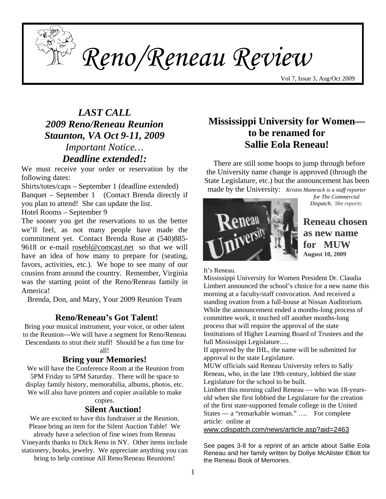

*Reno/Reneau Review* 

Vol 7, Issue 3, Aug/Oct 2009

# *LAST CALL 2009 Reno/Reneau Reunion Staunton, VA Oct 9-11, 2009*

# *Important Notice… Deadline extended!:*

We must receive your order or reservation by the following dates:

Shirts/totes/caps – September 1 (deadline extended) Banquet – September 1 (Contact Brenda directly if you plan to attend! She can update the list.

Hotel Rooms – September 9

The sooner you get the reservations to us the better we'll feel, as not many people have made the commitment yet. Contact Brenda Rose at (540)885- 9618 or e-mail [rosebl@comcast.net](mailto:rosebl@comcast.net) so that we will have an idea of how many to prepare for (seating, favors, activities, etc.). We hope to see many of our cousins from around the country. Remember, Virginia was the starting point of the Reno/Reneau family in America!

Brenda, Don, and Mary, Your 2009 Reunion Team

### **Reno/Reneau's Got Talent!**

Bring your musical instrument, your voice, or other talent to the Reunion---We will have a segment for Reno/Reneau Descendants to strut their stuff! Should be a fun time for all!

### **Bring your Memories!**

We will have the Conference Room at the Reunion from 5PM Friday to 5PM Saturday. There will be space to display family history, memorabilia, albums, photos, etc. We will also have printers and copier available to make

copies.

#### **Silent Auction!**

We are excited to have this fundraiser at the Reunion. Please bring an item for the Silent Auction Table! We already have a selection of fine wines from Reneau Vineyards thanks to Dick Reno in NY. Other items include stationery, books, jewelry. We appreciate anything you can bring to help continue All Reno/Reneau Reunions!

## **Mississippi University for Women to be renamed for Sallie Eola Reneau!**

There are still some hoops to jump through before the University name change is approved (through the State Legislature, etc.) but the announcement has been made by the University: *Kristin Mamrack is a staff reporter* 

*for The Commercial Dispatch. She reports:* 



**Reneau chosen as new name for MUW August 10, 2009** 

It's Reneau.

 committee work, it touched off another months-long Mississippi University for Women President Dr. Claudia Limbert announced the school's choice for a new name this morning at a faculty/staff convocation. And received a standing ovation from a full-house at Nissan Auditorium. While the announcement ended a months-long process of process that will require the approval of the state Institutions of Higher Learning Board of Trustees and the full Mississippi Legislature….

If approved by the IHL, the name will be submitted for approval to the state Legislature.

MUW officials said Reneau University refers to Sally Reneau, who, in the late 19th century, lobbied the state Legislature for the school to be built.

Limbert this morning called Reneau — who was 18-yearsold when she first lobbied the Legislature for the creation of the first state-supported female college in the United States — a "remarkable woman." …. For complete article: online at

[www.cdispatch.com/news/article.asp?aid=2463](http://www.cdispatch.com/news/article.asp?aid=2463)

See pages 3-8 for a reprint of an article about Sallie Eola Reneau and her family written by Dollye McAlister Elliott for the Reneau Book of Memories.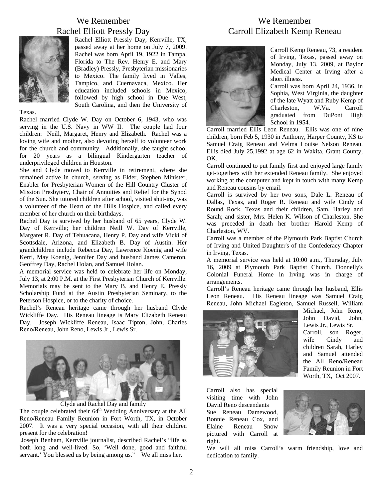#### We Remember Rachel Elliott Pressly Day



Rachel Elliott Pressly Day, Kerrville, TX, passed away at her home on July 7, 2009. Rachel was born April 19, 1922 in Tampa, Florida to The Rev. Henry E. and Mary (Bradley) Pressly, Presbyterian missionaries to Mexico. The family lived in Valles, Tampico, and Cuernavaca, Mexico. Her education included schools in Mexico, followed by high school in Due West, South Carolina, and then the University of

#### Texas.

Rachel married Clyde W. Day on October 6, 1943, who was serving in the U.S. Navy in WW II. The couple had four children: Neill, Margaret, Henry and Elizabeth. Rachel was a loving wife and mother, also devoting herself to volunteer work for the church and community. Additionally, she taught school for 20 years as a bilingual Kindergarten teacher of underprivileged children in Houston.

She and Clyde moved to Kerrville in retirement, where she remained active in church, serving as Elder, Stephen Minister, Enabler for Presbyterian Women of the Hill Country Cluster of Mission Presbytery, Chair of Annuities and Relief for the Synod of the Sun. She tutored children after school, visited shut-ins, was a volunteer of the Heart of the Hills Hospice, and called every member of her church on their birthdays.

Rachel Day is survived by her husband of 65 years, Clyde W. Day of Kerrville; her children Neill W. Day of Kerrville, Margaret R. Day of Tehuacana, Henry P. Day and wife Vicki of Scottsdale, Arizona, and Elizabeth B. Day of Austin. Her grandchildren include Rebecca Day, Lawrence Koenig and wife Kerri, May Koenig, Jennifer Day and husband James Cameron, Geoffrey Day, Rachel Holan, and Samuel Holan.

A memorial service was held to celebrate her life on Monday, July 13, at 2:00 P.M. at the First Presbyterian Church of Kerrville. Memorials may be sent to the Mary B. and Henry E. Pressly Scholarship Fund at the Austin Presbyterian Seminary, to the Peterson Hospice, or to the charity of choice.

Rachel's Reneau heritage came through her husband Clyde Wickliffe Day. His Reneau lineage is Mary Elizabeth Reneau Day, Joseph Wickliffe Reneau, Isaac Tipton, John, Charles Reno/Reneau, John Reno, Lewis Jr., Lewis Sr.



Clyde and Rachel Day and family

The couple celebrated their  $64<sup>th</sup>$  Wedding Anniversary at the All Reno/Reneau Family Reunion in Fort Worth, TX, in October 2007. It was a very special occasion, with all their children present for the celebration!

 Joseph Benham, Kerrville journalist, described Rachel's "life as both long and well-lived. So, 'Well done, good and faithful servant.' You blessed us by being among us." We all miss her.

### We Remember Carroll Elizabeth Kemp Reneau



Carroll Kemp Reneau, 73, a resident of Irving, Texas, passed away on Monday, July 13, 2009, at Baylor Medical Center at Irving after a short illness.

Carroll was born April 24, 1936, in Sophia, West Virginia, the daughter of the late Wyatt and Ruby Kemp of Charleston, W.Va. Carroll graduated from DuPont High School in 1954.

Carroll married Ellis Le on Reneau. Ellis was one of nine children, born Feb 5, 1930 in Anthony, Harper County, KS to Samuel Craig Reneau and Velma Louise Nelson Reneau. Ellis died July 25,1992 at age 62 in Wakita, Grant County, OK.

Carroll continued to put family first and enjoyed large family get-togethers with her extended Reneau family. She enjoyed working at the computer and kept in touch with many Kemp and Reneau cousins by email.

Carroll is survived by her two sons, Dale L. Reneau of Dallas, Texas, and Roger R. Reneau and wife Cindy of Round Rock, Texas and their children, Sam, Harley and Sarah; and sister, Mrs. Helen K. Wilson of Charleston. She was preceded in death her brother Harold Kemp of Charleston, WV.

Carroll was a member of the Plymouth Park Baptist Church of Irving and United Daughter's of the Confederacy Chapter in Irving, Texas.

A memorial service was held at 10:00 a.m., Thursday, July 16, 2009 at Plymouth Park Baptist Church. Donnelly's Colonial Funeral Home in Irving was in charge of arrangements.

Carroll's Reneau heritage came through her husband, Ellis Leon Reneau. His Reneau lineage was Samuel Craig Reneau, John Michael Eagleton, Samuel Russell, William



Michael, John Reno, John David, John, Lewis Jr., Lewis Sr. Carroll, son Roger, wife Cindy and children Sarah, Harley and Samuel attended the All Reno/Reneau Family Reunion in Fort Worth, TX, Oct 2007.

Carroll also has special Sue Reneau Damewood, visiting time with John David Reno descendants Bonnie Reneau Cox, and Elaine Reneau Snow pictured with Carroll at right.



We will all miss Carroll's warm friendship, love and dedication to family.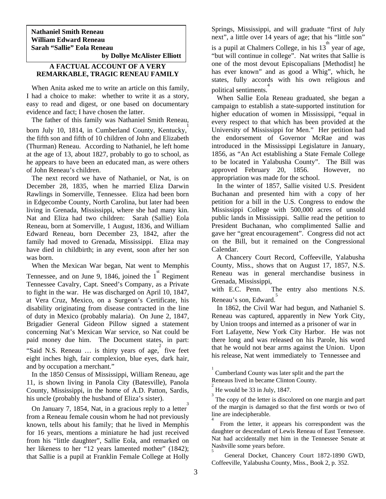**Nathaniel Smith Reneau William Edward Reneau Sarah "Sallie" Eola Reneau by Dollye McAlister Elliott** 

#### **A FACTUAL ACCOUNT OF A VERY REMARKABLE, TRAGIC RENEAU FAMILY**

 When Anita asked me to write an article on this family, I had a choice to make: whether to write it as a story, easy to read and digest, or one based on documentary evidence and fact; I have chosen the latter.

The father of this family was Nathaniel Smith Reneau,

born July 10, 1814, in Cumberland County, Kentucky, the fifth son and fifth of 10 children of John and Elizabeth (Thurman) Reneau. According to Nathaniel, he left home at the age of 13, about 1827, probably to go to school, as he appears to have been an educated man, as were others of John Reneau's children.

 The next record we have of Nathaniel, or Nat, is on December 28, 1835, when he married Eliza Darwin Rawlings in Somerville, Tennessee. Eliza had been born in Edgecombe County, North Carolina, but later had been living in Grenada, Mississippi, where she had many kin. Nat and Eliza had two children: Sarah (Sallie) Eola Reneau, born at Somerville, 1 August, 1836, and William Edward Reneau, born December 23, 1842, after the family had moved to Grenada, Mississippi. Eliza may have died in childbirth; in any event, soon after her son was born.

When the Mexican War began, Nat went to Memphis

Tennessee, and on June 9, 1846, joined the  $1<sup>st</sup>$  Regiment Tennessee Cavalry, Capt. Sneed's Company, as a Private to fight in the war. He was discharged on April 10, 1847, at Vera Cruz, Mexico, on a Surgeon's Certificate, his disability originating from disease contracted in the line of duty in Mexico (probably malaria). On June 2, 1847, Brigadier General Gideon Pillow signed a statement concerning Nat's Mexican War service, so Nat could be paid money due him. The Document states, in part: Said N.S. Reneau ... is thirty years of age, five feet eight inches high, fair complexion, blue eyes, dark hair, and by occupation a merchant."

 In the 1850 Census of Mississippi, William Reneau, age 11, is shown living in Panola City (Batesville), Panola County, Mississippi, in the home of A.D. Patton, Sardis, his uncle (probably the husband of Eliza's sister).

 On January 7, 1854, Nat, in a gracious reply to a letter 3 from a Reneau female cousin whom he had not previously known, tells about his family; that he lived in Memphis for 16 years, mentions a miniature he had just received from his "little daughter", Sallie Eola, and remarked on her likeness to her "12 years lamented mother" (1842); that Sallie is a pupil at Franklin Female College at Holly

Springs, Mississippi, and will graduate "first of July next", a little over 14 years of age; that his "little son" is a pupil at Chalmers College, in his  $13^{\text{th}}$  year of age,

"but will continue in college". Nat writes that Sallie is one of the most devout Episcopalians [Methodist] he has ever known" and as good a Whig", which, he states, fully accords with his own religious and political sentiments. 4

 When Sallie Eola Reneau graduated, she began a campaign to establish a state-supported institution for higher education of women in Mississippi, "equal in every respect to that which has been provided at the University of Mississippi for Men." Her petition had the endorsement of Governor McRae and was introduced in the Mississippi Legislature in January, 1856, as "An Act establishing a State Female College to be located in Yalabusha County". The Bill was approved February 20, 1856. However, no appropriation was made for the school.

 In the winter of 1857, Sallie visited U.S. President Buchanan and presented him with a copy of her petition for a bill in the U.S. Congress to endow the Mississippi College with 500,000 acres of unsold public lands in Mississippi. Sallie read the petition to President Buchanan, who complimented Sallie and gave her "great encouragement". Congress did not act on the Bill, but it remained on the Congressional Calendar.

 A Chancery Court Record, Coffeeville, Yalabusha County, Miss., shows that on August 17, 1857, N.S. Reneau was in general merchandise business in Grenada, Mississippi,

with E.C. Penn. The entry also mentions N.S. Reneau's son, Edward.<sup>5</sup>

 In 1862, the Civil War had begun, and Nathaniel S. Reneau was captured, apparently in New York City, by Union troops and interned as a prisoner of war in Fort Lafayette, New York City Harbor. He was not there long and was released on his Parole, his word that he would not bear arms against the Union. Upon his release, Nat went immediately to Tennessee and

5 General Docket, Chancery Court 1872-1890 GWD, Coffeeville, Yalabusha County, Miss., Book 2, p. 352.

<sup>1</sup> Cumberland County was later split and the part the Reneaus lived in became Clinton County. 2

He would be 33 in July, 1847.

<sup>3</sup> The copy of the letter is discolored on one margin and part of the margin is damaged so that the first words or two of line are indecipherable.

<sup>4</sup> From the letter, it appears his correspondent was the daughter or descendant of Lewis Reneau of East Tennessee. Nat had accidentally met him in the Tennessee Senate at Nashville some years before.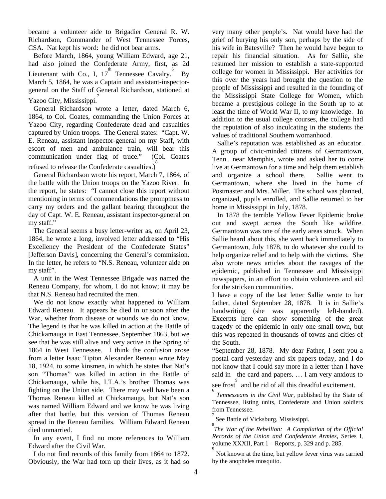became a volunteer aide to Brigadier General R. W. Richardson, Commander of West Tennessee Forces, CSA. Nat kept his word: he did not bear arms.

 Before March, 1864, young William Edward, age 21, had also joined the Confederate Army, first, as 2d Lieutenant with Co., I,  $17^{th}$  Tennessee Cavalry. By March 5, 1864, he was a Captain and assistant-inspectorgeneral on the Staff of General Richardson, stationed at Yazoo City, Mississippi.<sup>7</sup>

 General Richardson wrote a letter, dated March 6, 1864, to Col. Coates, commanding the Union Forces at Yazoo City, regarding Confederate dead and casualties captured by Union troops. The General states: "Capt. W. E. Reneau, assistant inspector-general on my Staff, with escort of men and ambulance train, will bear this communication under flag of truce." (Col. Coates refused to release the Confederate casualties.) 8

 General Richardson wrote his report, March 7, 1864, of the battle with the Union troops on the Yazoo River. In the report, he states: "I cannot close this report without mentioning in terms of commendations the promptness to carry my orders and the gallant bearing throughout the day of Capt. W. E. Reneau, assistant inspector-general on my staff."

 The General seems a busy letter-writer as, on April 23, 1864, he wrote a long, involved letter addressed to "His Excellency the President of the Confederate States" [Jefferson Davis], concerning the General's commission. In the letter, he refers to "N.S. Reneau, volunteer aide on my staff".

 A unit in the West Tennessee Brigade was named the Reneau Company, for whom, I do not know; it may be that N.S. Reneau had recruited the men.

 We do not know exactly what happened to William Edward Reneau. It appears he died in or soon after the War, whether from disease or wounds we do not know. The legend is that he was killed in action at the Battle of Chickamauga in East Tennessee, September 1863, but we see that he was still alive and very active in the Spring of 1864 in West Tennessee. I think the confusion arose from a letter Isaac Tipton Alexander Reneau wrote May 18, 1924, to some kinsmen, in which he states that Nat's son "Thomas" was killed in action in the Battle of Chickamauga, while his, I.T.A.'s brother Thomas was fighting on the Union side. There may well have been a Thomas Reneau killed at Chickamauga, but Nat's son was named William Edward and we know he was living after that battle, but this version of Thomas Reneau spread in the Reneau families. William Edward Reneau died unmarried.

 In any event, I find no more references to William Edward after the Civil War.

 I do not find records of this family from 1864 to 1872. Obviously, the War had torn up their lives, as it had so very many other people's. Nat would have had the grief of burying his only son, perhaps by the side of his wife in Batesville? Then he would have begun to repair his financial situation. As for Sallie, she resumed her mission to establish a state-supported college for women in Mississippi. Her activities for this over the years had brought the question to the people of Mississippi and resulted in the founding of the Mississippi State College for Women, which became a prestigious college in the South up to at least the time of World War II, to my knowledge. In addition to the usual college courses, the college had the reputation of also inculcating in the students the values of traditional Southern womanhood.

 Sallie's reputation was established as an educator. A group of civic-minded citizens of Germantown, Tenn., near Memphis, wrote and asked her to come live at Germantown for a time and help them establish and organize a school there. Sallie went to Germantown, where she lived in the home of Postmaster and Mrs. Miller. The school was planned, organized, pupils enrolled, and Sallie returned to her home in Mississippi in July, 1878.

 In 1878 the terrible Yellow Fever Epidemic broke out and swept across the South like wildfire. Germantown was one of the early areas struck. When Sallie heard about this, she went back immediately to Germantown, July 1878, to do whatever she could to help organize relief and to help with the victims. She also wrote news articles about the ravages of the epidemic, published in Tennessee and Mississippi newspapers, in an effort to obtain volunteers and aid for the stricken communities.

I have a copy of the last letter Sallie wrote to her father, dated September 28, 1878. It is in Sallie's handwriting (she was apparently left-handed). Excerpts here can show something of the great tragedy of the epidemic in only one small town, but this was repeated in thousands of towns and cities of the South.

"September 28, 1878. My dear Father, I sent you a postal card yesterday and six papers today, and I do not know that I could say more in a letter than I have said in the card and papers. … I am very anxious to

see frost  $\int_{6}^{9}$  and be rid of all this dreadful excitement.

*Tennesseans in the Civil War,* published by the State of Tennessee, listing units, Confederate and Union soldiers from Tennessee.

7 See Battle of Vicksburg, Mississippi.

8 *The War of the Rebellion: A Compilation of the Official Records of the Union and Confederate Armies,* Series I, volume XXXII, Part 1 – Reports, p. 329 and p. 285.

9 Not known at the time, but yellow fever virus was carried by the anopheles mosquito.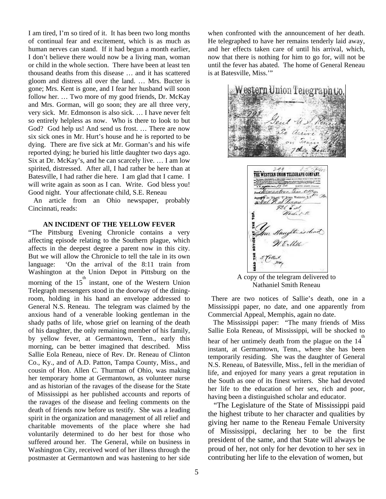I am tired, I'm so tired of it. It has been two long months of continual fear and excitement, which is as much as human nerves can stand. If it had begun a month earlier, I don't believe there would now be a living man, woman or child in the whole section. There have been at least ten thousand deaths from this disease … and it has scattered gloom and distress all over the land. … Mrs. Bucter is gone; Mrs. Kent is gone, and I fear her husband will soon follow her. ... Two more of my good friends, Dr. McKay and Mrs. Gorman, will go soon; they are all three very, very sick. Mr. Edmonson is also sick. … I have never felt so entirely helpless as now. Who is there to look to but God? God help us! And send us frost. … There are now six sick ones in Mr. Hurt's house and he is reported to be dying. There are five sick at Mr. Gorman's and his wife reported dying; he buried his little daughter two days ago. Six at Dr. McKay's, and he can scarcely live. … I am low spirited, distressed. After all, I had rather be here than at Batesville, I had rather die here. I am glad that I came. I will write again as soon as I can. Write. God bless you! Good night. Your affectionate child, S.E. Reneau

 An article from an Ohio newspaper, probably Cincinnati, reads:

#### **AN INCIDENT OF THE YELLOW FEVER**

"The Pittsburg Evening Chronicle contains a very affecting episode relating to the Southern plague, which affects in the deepest degree a parent now in this city. But we will allow the Chronicle to tell the tale in its own language: 'On the arrival of the 8:11 train from Washington at the Union Depot in Pittsburg on the morning of the  $15<sup>th</sup>$  instant, one of the Western Union Telegraph messengers stood in the doorway of the diningroom, holding in his hand an envelope addressed to General N.S. Reneau. The telegram was claimed by the anxious hand of a venerable looking gentleman in the shady paths of life, whose grief on learning of the death of his daughter, the only remaining member of his family, by yellow fever, at Germantown, Tenn., early this morning, can be better imagined that described. Miss Sallie Eola Reneau, niece of Rev. Dr. Reneau of Clinton Co., Ky., and of A.D. Patton, Tampa County, Miss., and cousin of Hon. Allen C. Thurman of Ohio, was making her temporary home at Germantown, as volunteer nurse and as historian of the ravages of the disease for the State of Mississippi as her published accounts and reports of the ravages of the disease and feeling comments on the death of friends now before us testify. She was a leading spirit in the organization and management of all relief and charitable movements of the place where she had voluntarily determined to do her best for those who suffered around her. The General, while on business in Washington City, received word of her illness through the postmaster at Germantown and was hastening to her side

when confronted with the announcement of her death. He telegraphed to have her remains tenderly laid away, and her effects taken care of until his arrival, which, now that there is nothing for him to go for, will not be until the fever has abated. The home of General Reneau is at Batesville, Miss.'"





 A copy of the telegram delivered to Nathaniel Smith Reneau

 There are two notices of Sallie's death, one in a Mississippi paper, no date, and one apparently from Commercial Appeal, Memphis, again no date.

 The Mississippi paper: "The many friends of Miss Sallie Eola Reneau, of Mississippi, will be shocked to hear of her untimely death from the plague on the  $14<sup>th</sup>$ instant, at Germantown, Tenn., where she has been temporarily residing. She was the daughter of General N.S. Reneau, of Batesville, Miss., fell in the meridian of life, and enjoyed for many years a great reputation in the South as one of its finest writers. She had devoted her life to the education of her sex, rich and poor, having been a distinguished scholar and educator.

 "The Legislature of the State of Mississippi paid the highest tribute to her character and qualities by giving her name to the Reneau Female University of Mississippi, declaring her to be the first president of the same, and that State will always be proud of her, not only for her devotion to her sex in contributing her life to the elevation of women, but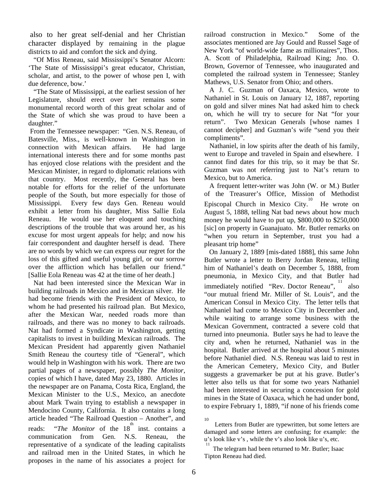also to her great self-denial and her Christian character displayed by remaining in the plague districts to aid and comfort the sick and dying.

 "Of Miss Reneau, said Mississippi's Senator Alcorn: 'The State of Mississippi's great educator, Christian, scholar, and artist, to the power of whose pen I, with due deference, bow.'

 "The State of Mississippi, at the earliest session of her Legislature, should erect over her remains some monumental record worth of this great scholar and of the State of which she was proud to have been a daughter."

 From the Tennessee newspaper: "Gen. N.S. Reneau, of Batesville, Miss., is well-known in Washington in connection with Mexican affairs. He had large international interests there and for some months past has enjoyed close relations with the president and the Mexican Minister, in regard to diplomatic relations with that country. Most recently, the General has been notable for efforts for the relief of the unfortunate people of the South, but more especially for those of Mississippi. Every few days Gen. Reneau would exhibit a letter from his daughter, Miss Sallie Eola Reneau. He would use her eloquent and touching descriptions of the trouble that was around her, as his excuse for most urgent appeals for help; and now his fair correspondent and daughter herself is dead. There are no words by which we can express our regret for the loss of this gifted and useful young girl, or our sorrow over the affliction which has befallen our friend." [Sallie Eola Reneau was 42 at the time of her death.]

 Nat had been interested since the Mexican War in building railroads in Mexico and in Mexican silver. He had become friends with the President of Mexico, to whom he had presented his railroad plan. But Mexico, after the Mexican War, needed roads more than railroads, and there was no money to back railroads. Nat had formed a Syndicate in Washington, getting capitalists to invest in building Mexican railroads. The Mexican President had apparently given Nathaniel Smith Reneau the courtesy title of "General", which would help in Washington with his work. There are two partial pages of a newspaper, possibly *The Monitor,* copies of which I have, dated May 23, 1880. Articles in the newspaper are on Panama, Costa Rica, England, the Mexican Minister to the U.S., Mexico, an anecdote about Mark Twain trying to establish a newspaper in Mendocino County, California. It also contains a long article headed "The Railroad Question – Another", and reads: "*The Monitor* of the 18<sup>th</sup> inst. contains a communication from Gen. N.S. Reneau, the representative of a syndicate of the leading capitalists and railroad men in the United States, in which he proposes in the name of his associates a project for railroad construction in Mexico." Some of the associates mentioned are Jay Gould and Russel Sage of New York "of world-wide fame as millionaires", Thos. A. Scott of Philadelphia, Railroad King; Jno. O. Brown, Governor of Tennessee, who inaugurated and completed the railroad system in Tennessee; Stanley Mathews, U.S. Senator from Ohio; and others.

 A J. C. Guzman of Oaxaca, Mexico, wrote to Nathaniel in St. Louis on January 12, 1887, reporting on gold and silver mines Nat had asked him to check on, which he will try to secure for Nat "for your return". Two Mexican Generals [whose names I cannot decipher] and Guzman's wife "send you their compliments".

 Nathaniel, in low spirits after the death of his family, went to Europe and traveled in Spain and elsewhere. I cannot find dates for this trip, so it may be that Sr. Guzman was not referring just to Nat's return to Mexico, but to America.

 A frequent letter-writer was John (W. or M.) Butler of the Treasurer's Office, Mission of Methodist Episcopal Church in Mexico City.<sup>10</sup> He wrote on August 5, 1888, telling Nat bad news about how much money he would have to put up, \$800,000 to \$250,000 [sic] on property in Guanajuato. Mr. Butler remarks on "when you return in September, trust you had a pleasant trip home"

 On January 2, 1889 [mis-dated 1888], this same John Butler wrote a letter to Berry Jordan Reneau, telling him of Nathaniel's death on December 5, 1888, from pneumonia, in Mexico City, and that Butler had immediately notified "Rev. Doctor Reneau", <sup>11</sup> also "our mutual friend Mr. Miller of St. Louis", and the American Consul in Mexico City. The letter tells that Nathaniel had come to Mexico City in December and, while waiting to arrange some business with the Mexican Government, contracted a severe cold that turned into pneumonia. Butler says he had to leave the city and, when he returned, Nathaniel was in the hospital. Butler arrived at the hospital about 5 minutes before Nathaniel died. N.S. Reneau was laid to rest in the American Cemetery, Mexico City, and Butler suggests a gravemarker be put at his grave. Butler's letter also tells us that for some two years Nathaniel had been interested in securing a concession for gold mines in the State of Oaxaca, which he had under bond, to expire February 1, 1889, "if none of his friends come

<sup>10</sup> Letters from Butler are typewritten, but some letters are damaged and some letters are confusing; for example: the u's look like v's , while the v's also look like u's, etc.

<sup>11</sup> The telegram had been returned to Mr. Butler; Isaac Tipton Reneau had died.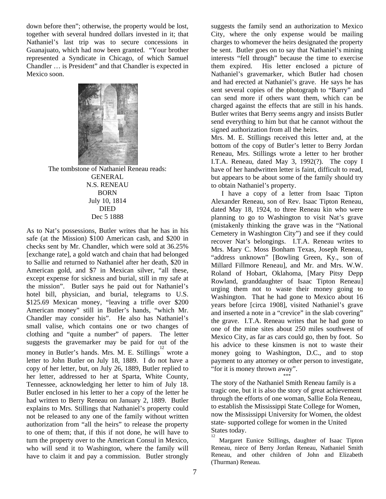down before then"; otherwise, the property would be lost, together with several hundred dollars invested in it; that Nathaniel's last trip was to secure concessions in Guanajuato, which had now been granted. "Your brother represented a Syndicate in Chicago, of which Samuel Chandler … is President" and that Chandler is expected in Mexico soon.



 The tombstone of Nathaniel Reneau reads: **GENERAL** N.S. RENEAU BORN July 10, 1814 DIED Dec 5 1888

As to Nat's possessions, Butler writes that he has in his safe (at the Mission) \$100 American cash, and \$200 in checks sent by Mr. Chandler, which were sold at 36.25% [exchange rate], a gold watch and chain that had belonged to Sallie and returned to Nathaniel after her death, \$20 in American gold, and \$7 in Mexican silver, "all these, except expense for sickness and burial, still in my safe at the mission". Butler says he paid out for Nathaniel's hotel bill, physician, and burial, telegrams to U.S. \$125.69 Mexican money, "leaving a trifle over \$200 American money" still in Butler's hands, "which Mr. Chandler may consider his". He also has Nathaniel's small valise, which contains one or two changes of clothing and "quite a number" of papers. The letter suggests the gravemarker may be paid for out of the money in Butler's hands. Mrs. M. E. Stillings<sup>12</sup> wrote a letter to John Butler on July 18, 1889. I do not have a copy of her letter, but, on July 26, 1889, Butler replied to her letter, addressed to her at Sparta, White County, Tennessee, acknowledging her letter to him of July 18. Butler enclosed in his letter to her a copy of the letter he had written to Berry Reneau on January 2, 1889. Butler explains to Mrs. Stillings that Nathaniel's property could not be released to any one of the family without written authorization from "all the heirs" to release the property to one of them; that, if this if not done, he will have to turn the property over to the American Consul in Mexico, who will send it to Washington, where the family will have to claim it and pay a commission. Butler strongly

suggests the family send an authorization to Mexico City, where the only expense would be mailing charges to whomever the heirs designated the property be sent. Butler goes on to say that Nathaniel's mining interests "fell through" because the time to exercise them expired. His letter enclosed a picture of Nathaniel's gravemarker, which Butler had chosen and had erected at Nathaniel's grave. He says he has sent several copies of the photograph to "Barry" and can send more if others want them, which can be charged against the effects that are still in his hands. Butler writes that Berry seems angry and insists Butler send everything to him but that he cannot without the signed authorization from all the heirs.

Mrs. M. E. Stillings received this letter and, at the bottom of the copy of Butler's letter to Berry Jordan Reneau, Mrs. Stillings wrote a letter to her brother I.T.A. Reneau, dated May 3, 1992(?). The copy I have of her handwritten letter is faint, difficult to read, but appears to be about some of the family should try to obtain Nathaniel's property.

 I have a copy of a letter from Isaac Tipton Alexander Reneau, son of Rev. Isaac Tipton Reneau, dated May 18, 1924, to three Reneau kin who were planning to go to Washington to visit Nat's grave (mistakenly thinking the grave was in the "National Cemetery in Washington City") and see if they could recover Nat's belongings. I.T.A. Reneau writes to Mrs. Mary C. Moss Bonham Texas, Joseph Reneau, "address unknown" [Bowling Green, Ky., son of Millard Fillmore Reneau], and Mr. and Mrs. W.W. Roland of Hobart, Oklahoma, [Mary Pitsy Depp Rowland, granddaughter of Isaac Tipton Reneau] urging them not to waste their money going to Washington. That he had gone to Mexico about 16 years before [circa 1908], visited Nathaniel's grave and inserted a note in a "crevice" in the slab covering" the grave. I.T.A. Reneau writes that he had gone to one of the mine sites about 250 miles southwest of Mexico City, as far as cars could go, then by foot. So his advice to these kinsmen is not to waste their money going to Washington, D.C., and to stop payment to any attorney or other person to investigate, "for it is money thrown away".

\*\*\* The story of the Nathaniel Smith Reneau family is a tragic one, but it is also the story of great achievement through the efforts of one woman, Sallie Eola Reneau, to establish the Mississippi State College for Women, now the Mississippi University for Women, the oldest state- supported college for women in the United States today.

 Margaret Eunice Stillings, daughter of Isaac Tipton Reneau, niece of Berry Jordan Reneau, Nathaniel Smith Reneau, and other children of John and Elizabeth (Thurman) Reneau.